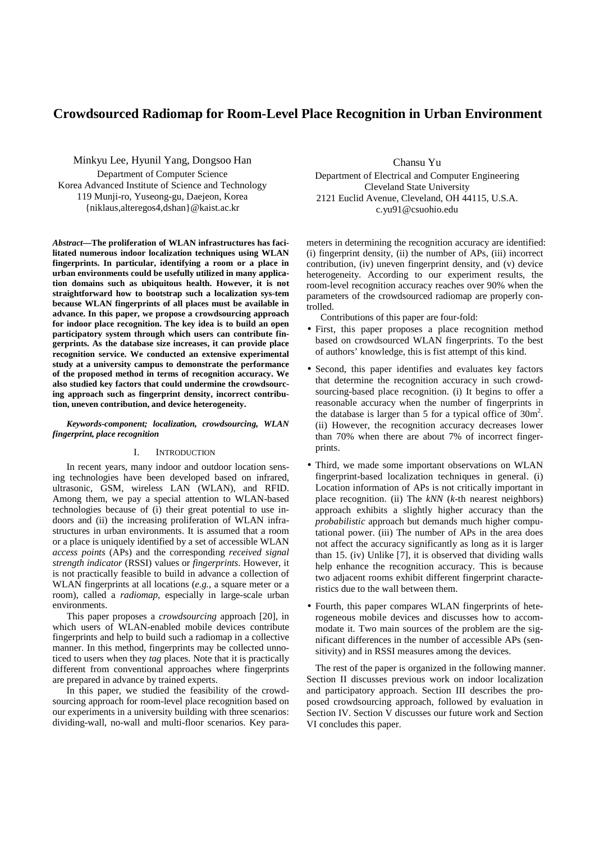# **Crowdsourced Radiomap for Room-Level Place Recognition in Urban Environment**

Minkyu Lee, Hyunil Yang, Dongsoo Han Department of Computer Science Korea Advanced Institute of Science and Technology 119 Munji-ro, Yuseong-gu, Daejeon, Korea {niklaus,alteregos4,dshan}@kaist.ac.kr

*Abstract***—The proliferation of WLAN infrastructures has facilitated numerous indoor localization techniques using WLAN fingerprints. In particular, identifying a room or a place in urban environments could be usefully utilized in many application domains such as ubiquitous health. However, it is not straightforward how to bootstrap such a localization sys-tem because WLAN fingerprints of all places must be available in advance. In this paper, we propose a crowdsourcing approach for indoor place recognition. The key idea is to build an open participatory system through which users can contribute fingerprints. As the database size increases, it can provide place recognition service. We conducted an extensive experimental study at a university campus to demonstrate the performance of the proposed method in terms of recognition accuracy. We also studied key factors that could undermine the crowdsourcing approach such as fingerprint density, incorrect contribution, uneven contribution, and device heterogeneity.** 

#### *Keywords-component; localization, crowdsourcing, WLAN fingerprint, place recognition*

#### I. INTRODUCTION

In recent years, many indoor and outdoor location sensing technologies have been developed based on infrared, ultrasonic, GSM, wireless LAN (WLAN), and RFID. Among them, we pay a special attention to WLAN-based technologies because of (i) their great potential to use indoors and (ii) the increasing proliferation of WLAN infrastructures in urban environments. It is assumed that a room or a place is uniquely identified by a set of accessible WLAN *access points* (APs) and the corresponding *received signal strength indicator* (RSSI) values or *fingerprints*. However, it is not practically feasible to build in advance a collection of WLAN fingerprints at all locations (*e.g.*, a square meter or a room), called a *radiomap*, especially in large-scale urban environments.

This paper proposes a *crowdsourcing* approach [20], in which users of WLAN-enabled mobile devices contribute fingerprints and help to build such a radiomap in a collective manner. In this method, fingerprints may be collected unnoticed to users when they *tag* places. Note that it is practically different from conventional approaches where fingerprints are prepared in advance by trained experts.

In this paper, we studied the feasibility of the crowdsourcing approach for room-level place recognition based on our experiments in a university building with three scenarios: dividing-wall, no-wall and multi-floor scenarios. Key paraChansu Yu

Department of Electrical and Computer Engineering Cleveland State University 2121 Euclid Avenue, Cleveland, OH 44115, U.S.A. c.yu91@csuohio.edu

meters in determining the recognition accuracy are identified: (i) fingerprint density, (ii) the number of APs, (iii) incorrect contribution, (iv) uneven fingerprint density, and (v) device heterogeneity. According to our experiment results, the room-level recognition accuracy reaches over 90% when the parameters of the crowdsourced radiomap are properly controlled.

Contributions of this paper are four-fold:

- First, this paper proposes a place recognition method based on crowdsourced WLAN fingerprints. To the best of authors' knowledge, this is fist attempt of this kind.
- Second, this paper identifies and evaluates key factors that determine the recognition accuracy in such crowdsourcing-based place recognition. (i) It begins to offer a reasonable accuracy when the number of fingerprints in the database is larger than 5 for a typical office of  $30m^2$ . (ii) However, the recognition accuracy decreases lower than 70% when there are about 7% of incorrect fingerprints.
- Third, we made some important observations on WLAN fingerprint-based localization techniques in general. (i) Location information of APs is not critically important in place recognition. (ii) The *kNN* (*k*-th nearest neighbors) approach exhibits a slightly higher accuracy than the *probabilistic* approach but demands much higher computational power. (iii) The number of APs in the area does not affect the accuracy significantly as long as it is larger than 15. (iv) Unlike [7], it is observed that dividing walls help enhance the recognition accuracy. This is because two adjacent rooms exhibit different fingerprint characteristics due to the wall between them.
- Fourth, this paper compares WLAN fingerprints of heterogeneous mobile devices and discusses how to accommodate it. Two main sources of the problem are the significant differences in the number of accessible APs (sensitivity) and in RSSI measures among the devices.

The rest of the paper is organized in the following manner. Section II discusses previous work on indoor localization and participatory approach. Section III describes the proposed crowdsourcing approach, followed by evaluation in Section IV. Section V discusses our future work and Section VI concludes this paper.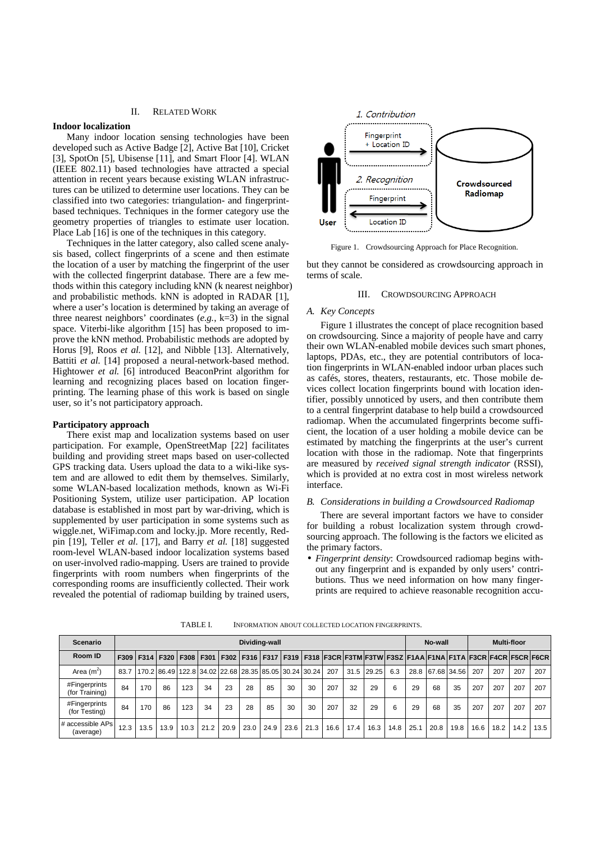#### II. RELATED WORK

### **Indoor localization**

Many indoor location sensing technologies have been developed such as Active Badge [2], Active Bat [10], Cricket [3], SpotOn [5], Ubisense [11], and Smart Floor [4]. WLAN (IEEE 802.11) based technologies have attracted a special attention in recent years because existing WLAN infrastructures can be utilized to determine user locations. They can be classified into two categories: triangulation- and fingerprintbased techniques. Techniques in the former category use the geometry properties of triangles to estimate user location. Place Lab [16] is one of the techniques in this category.

Techniques in the latter category, also called scene analysis based, collect fingerprints of a scene and then estimate the location of a user by matching the fingerprint of the user with the collected fingerprint database. There are a few methods within this category including kNN (k nearest neighbor) and probabilistic methods. kNN is adopted in RADAR [1], where a user's location is determined by taking an average of three nearest neighbors' coordinates (*e.g.*, k=3) in the signal space. Viterbi-like algorithm [15] has been proposed to improve the kNN method. Probabilistic methods are adopted by Horus [9], Roos *et al.* [12], and Nibble [13]. Alternatively, Battiti *et al.* [14] proposed a neural-network-based method. Hightower *et al.* [6] introduced BeaconPrint algorithm for learning and recognizing places based on location fingerprinting. The learning phase of this work is based on single user, so it's not participatory approach.

### **Participatory approach**

There exist map and localization systems based on user participation. For example, OpenStreetMap [22] facilitates building and providing street maps based on user-collected GPS tracking data. Users upload the data to a wiki-like system and are allowed to edit them by themselves. Similarly, some WLAN-based localization methods, known as Wi-Fi Positioning System, utilize user participation. AP location database is established in most part by war-driving, which is supplemented by user participation in some systems such as wiggle.net, WiFimap.com and locky.jp. More recently, Redpin [19], Teller *et al.* [17], and Barry *et al.* [18] suggested room-level WLAN-based indoor localization systems based on user-involved radio-mapping. Users are trained to provide fingerprints with room numbers when fingerprints of the corresponding rooms are insufficiently collected. Their work revealed the potential of radiomap building by trained users,



Figure 1. Crowdsourcing Approach for Place Recognition.

but they cannot be considered as crowdsourcing approach in terms of scale.

#### III. CROWDSOURCING APPROACH

### *A. Key Concepts*

Figure 1 illustrates the concept of place recognition based on crowdsourcing. Since a majority of people have and carry their own WLAN-enabled mobile devices such smart phones, laptops, PDAs, etc., they are potential contributors of location fingerprints in WLAN-enabled indoor urban places such as cafés, stores, theaters, restaurants, etc. Those mobile devices collect location fingerprints bound with location identifier, possibly unnoticed by users, and then contribute them to a central fingerprint database to help build a crowdsourced radiomap. When the accumulated fingerprints become sufficient, the location of a user holding a mobile device can be estimated by matching the fingerprints at the user's current location with those in the radiomap. Note that fingerprints are measured by *received signal strength indicator* (RSSI), which is provided at no extra cost in most wireless network interface.

### *B. Considerations in building a Crowdsourced Radiomap*

There are several important factors we have to consider for building a robust localization system through crowdsourcing approach. The following is the factors we elicited as the primary factors.

• *Fingerprint density*: Crowdsourced radiomap begins without any fingerprint and is expanded by only users' contributions. Thus we need information on how many fingerprints are required to achieve reasonable recognition accu-

| Scenario                        | Dividing-wall |                           |      |      |                                                                       |      |      |      |      |      |      |      |       |      |      | No-wall |                                                                                                           | <b>Multi-floor</b> |      |      |      |
|---------------------------------|---------------|---------------------------|------|------|-----------------------------------------------------------------------|------|------|------|------|------|------|------|-------|------|------|---------|-----------------------------------------------------------------------------------------------------------|--------------------|------|------|------|
| Room ID                         |               | F309   F314   F320   F308 |      |      | F301                                                                  |      |      |      |      |      |      |      |       |      |      |         | F302   F316   F317   F319   F318  F3CR  F3TM  F3TW  F3SZ   F1AA   F1NA   F1TA   F3CR   F4CR   F5CR   F6CR |                    |      |      |      |
| Area $(m2)$                     | 83.7          |                           |      |      | 170.2   86.49   122.8   34.02   22.68   28.35   85.05   30.24   30.24 |      |      |      |      |      | 207  | 31.5 | 29.25 | 6.3  | 28.8 |         | 67.68 34.56                                                                                               | 207                | 207  | 207  | 207  |
| #Fingerprints<br>(for Training) | 84            | 170                       | 86   | 123  | 34                                                                    | 23   | 28   | 85   | 30   | 30   | 207  | 32   | 29    | 6    | 29   | 68      | 35                                                                                                        | 207                | 207  | 207  | 207  |
| #Fingerprints<br>(for Testing)  | 84            | 170                       | 86   | 123  | 34                                                                    | 23   | 28   | 85   | 30   | 30   | 207  | 32   | 29    | 6    | 29   | 68      | 35                                                                                                        | 207                | 207  | 207  | 207  |
| # accessible APs<br>(average)   | 12.3          | 13.5                      | 13.9 | 10.3 | 21.2                                                                  | 20.9 | 23.0 | 24.9 | 23.6 | 21.3 | 16.6 | 17.4 | 16.3  | 14.8 | 25.1 | 20.8    | 19.8                                                                                                      | 16.6               | 18.2 | 14.2 | 13.5 |

TABLE I. INFORMATION ABOUT COLLECTED LOCATION FINGERPRINTS.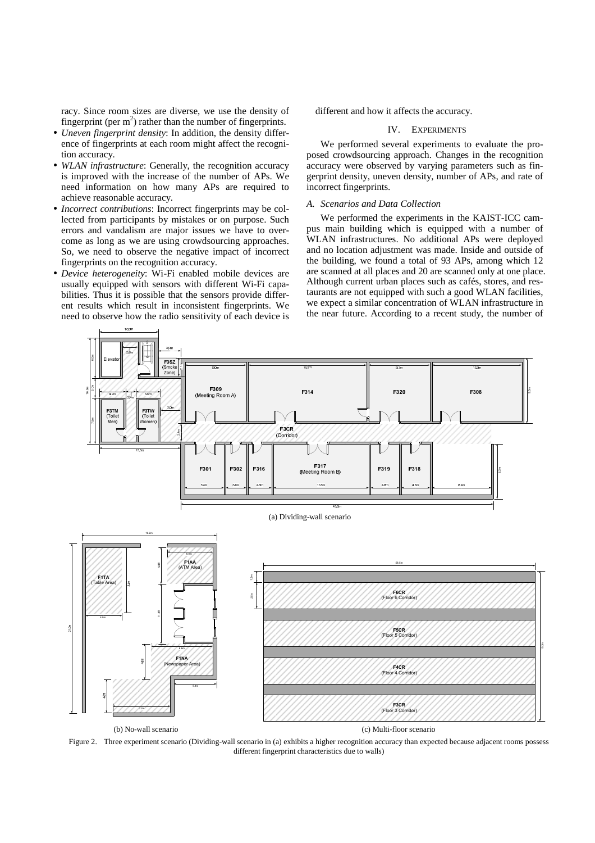racy. Since room sizes are diverse, we use the density of fingerprint (per  $m<sup>2</sup>$ ) rather than the number of fingerprints.

- *Uneven fingerprint density*: In addition, the density difference of fingerprints at each room might affect the recognition accuracy.
- *WLAN infrastructure*: Generally, the recognition accuracy is improved with the increase of the number of APs. We need information on how many APs are required to achieve reasonable accuracy.
- *Incorrect contributions*: Incorrect fingerprints may be collected from participants by mistakes or on purpose. Such errors and vandalism are major issues we have to overcome as long as we are using crowdsourcing approaches. So, we need to observe the negative impact of incorrect fingerprints on the recognition accuracy.
- *Device heterogeneity*: Wi-Fi enabled mobile devices are usually equipped with sensors with different Wi-Fi capabilities. Thus it is possible that the sensors provide different results which result in inconsistent fingerprints. We need to observe how the radio sensitivity of each device is

different and how it affects the accuracy.

# IV. EXPERIMENTS

We performed several experiments to evaluate the proposed crowdsourcing approach. Changes in the recognition accuracy were observed by varying parameters such as fingerprint density, uneven density, number of APs, and rate of incorrect fingerprints.

# *A. Scenarios and Data Collection*

We performed the experiments in the KAIST-ICC campus main building which is equipped with a number of WLAN infrastructures. No additional APs were deployed and no location adjustment was made. Inside and outside of the building, we found a total of 93 APs, among which 12 are scanned at all places and 20 are scanned only at one place. Although current urban places such as cafés, stores, and restaurants are not equipped with such a good WLAN facilities, we expect a similar concentration of WLAN infrastructure in the near future. According to a recent study, the number of



Figure 2. Three experiment scenario (Dividing-wall scenario in (a) exhibits a higher recognition accuracy than expected because adjacent rooms possess different fingerprint characteristics due to walls)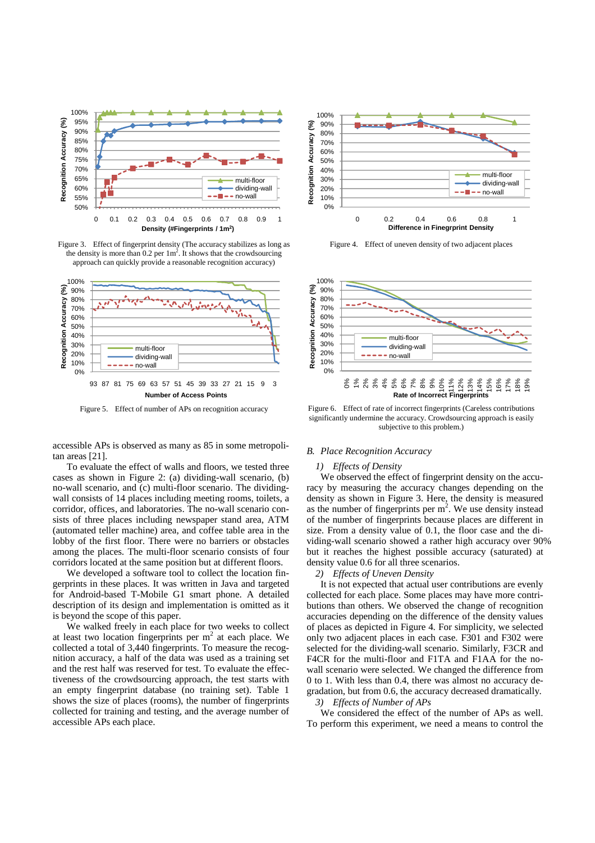

Figure 3. Effect of fingerprint density (The accuracy stabilizes as long as the density is more than  $0.2$  per  $1m^2$ . It shows that the crowdsourcing approach can quickly provide a reasonable recognition accuracy)



accessible APs is observed as many as 85 in some metropolitan areas [21].

To evaluate the effect of walls and floors, we tested three cases as shown in Figure 2: (a) dividing-wall scenario, (b) no-wall scenario, and (c) multi-floor scenario. The dividingwall consists of 14 places including meeting rooms, toilets, a corridor, offices, and laboratories. The no-wall scenario consists of three places including newspaper stand area, ATM (automated teller machine) area, and coffee table area in the lobby of the first floor. There were no barriers or obstacles among the places. The multi-floor scenario consists of four corridors located at the same position but at different floors.

We developed a software tool to collect the location fingerprints in these places. It was written in Java and targeted for Android-based T-Mobile G1 smart phone. A detailed description of its design and implementation is omitted as it is beyond the scope of this paper.

We walked freely in each place for two weeks to collect at least two location fingerprints per  $m<sup>2</sup>$  at each place. We collected a total of 3,440 fingerprints. To measure the recognition accuracy, a half of the data was used as a training set and the rest half was reserved for test. To evaluate the effectiveness of the crowdsourcing approach, the test starts with an empty fingerprint database (no training set). Table 1 shows the size of places (rooms), the number of fingerprints collected for training and testing, and the average number of accessible APs each place.



Figure 4. Effect of uneven density of two adjacent places



Figure 5. Effect of number of APs on recognition accuracy Figure 6. Effect of rate of incorrect fingerprints (Careless contributions significantly undermine the accuracy. Crowdsourcing approach is easily subjective to this problem.)

#### *B. Place Recognition Accuracy*

# *1) Effects of Density*

We observed the effect of fingerprint density on the accuracy by measuring the accuracy changes depending on the density as shown in Figure 3. Here, the density is measured as the number of fingerprints per  $m<sup>2</sup>$ . We use density instead of the number of fingerprints because places are different in size. From a density value of 0.1, the floor case and the dividing-wall scenario showed a rather high accuracy over 90% but it reaches the highest possible accuracy (saturated) at density value 0.6 for all three scenarios.

# *2) Effects of Uneven Density*

It is not expected that actual user contributions are evenly collected for each place. Some places may have more contributions than others. We observed the change of recognition accuracies depending on the difference of the density values of places as depicted in Figure 4. For simplicity, we selected only two adjacent places in each case. F301 and F302 were selected for the dividing-wall scenario. Similarly, F3CR and F4CR for the multi-floor and F1TA and F1AA for the nowall scenario were selected. We changed the difference from 0 to 1. With less than 0.4, there was almost no accuracy degradation, but from 0.6, the accuracy decreased dramatically.

# *3) Effects of Number of APs*

We considered the effect of the number of APs as well. To perform this experiment, we need a means to control the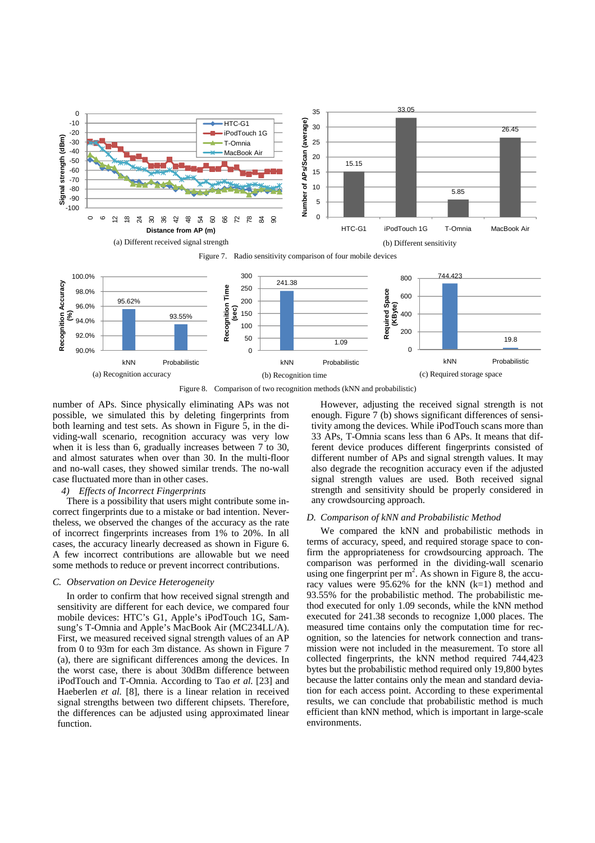

Figure 8. Comparison of two recognition methods (kNN and probabilistic)

number of APs. Since physically eliminating APs was not possible, we simulated this by deleting fingerprints from both learning and test sets. As shown in Figure 5, in the dividing-wall scenario, recognition accuracy was very low when it is less than 6, gradually increases between 7 to 30, and almost saturates when over than 30. In the multi-floor and no-wall cases, they showed similar trends. The no-wall case fluctuated more than in other cases.

#### *4) Effects of Incorrect Fingerprints*

There is a possibility that users might contribute some incorrect fingerprints due to a mistake or bad intention. Nevertheless, we observed the changes of the accuracy as the rate of incorrect fingerprints increases from 1% to 20%. In all cases, the accuracy linearly decreased as shown in Figure 6. A few incorrect contributions are allowable but we need some methods to reduce or prevent incorrect contributions.

#### *C. Observation on Device Heterogeneity*

In order to confirm that how received signal strength and sensitivity are different for each device, we compared four mobile devices: HTC's G1, Apple's iPodTouch 1G, Samsung's T-Omnia and Apple's MacBook Air (MC234LL/A). First, we measured received signal strength values of an AP from 0 to 93m for each 3m distance. As shown in Figure 7 (a), there are significant differences among the devices. In the worst case, there is about 30dBm difference between iPodTouch and T-Omnia. According to Tao *et al.* [23] and Haeberlen *et al.* [8], there is a linear relation in received signal strengths between two different chipsets. Therefore, the differences can be adjusted using approximated linear function.

However, adjusting the received signal strength is not enough. Figure 7 (b) shows significant differences of sensitivity among the devices. While iPodTouch scans more than 33 APs, T-Omnia scans less than 6 APs. It means that different device produces different fingerprints consisted of different number of APs and signal strength values. It may also degrade the recognition accuracy even if the adjusted signal strength values are used. Both received signal strength and sensitivity should be properly considered in any crowdsourcing approach.

#### *D. Comparison of kNN and Probabilistic Method*

We compared the kNN and probabilistic methods in terms of accuracy, speed, and required storage space to confirm the appropriateness for crowdsourcing approach. The comparison was performed in the dividing-wall scenario using one fingerprint per  $m^2$ . As shown in Figure 8, the accuracy values were 95.62% for the kNN (k=1) method and 93.55% for the probabilistic method. The probabilistic method executed for only 1.09 seconds, while the kNN method executed for 241.38 seconds to recognize 1,000 places. The measured time contains only the computation time for recognition, so the latencies for network connection and transmission were not included in the measurement. To store all collected fingerprints, the kNN method required 744,423 bytes but the probabilistic method required only 19,800 bytes because the latter contains only the mean and standard deviation for each access point. According to these experimental results, we can conclude that probabilistic method is much efficient than kNN method, which is important in large-scale environments.